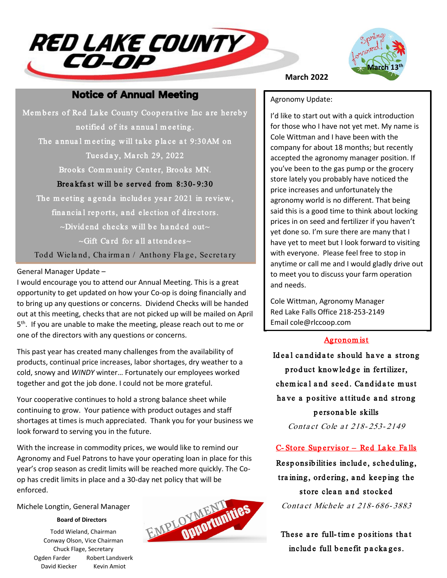



### **Notice of Annual Meeting**

Members of Red Lake County Cooperative Inc are hereby notified of its a nnua l m eeting. The annual meeting will take place at 9:30AM on Tuesday, March 29, 2022 Brooks Community Center, Brooks MN. Breakfast will be served from 8:30-9:30 The meeting agenda includes year 2021 in review, financial reports, and election of directors.  $\sim$ Dividend checks will be handed out $\sim$  $\sim$ Gift Card for all attendees $\sim$ 

Todd Wieland, Chairman / Anthony Flage, Secretary

#### General Manager Update –

I would encourage you to attend our Annual Meeting. This is a great opportunity to get updated on how your Co-op is doing financially and to bring up any questions or concerns. Dividend Checks will be handed out at this meeting, checks that are not picked up will be mailed on April 5<sup>th</sup>. If you are unable to make the meeting, please reach out to me or one of the directors with any questions or concerns.

This past year has created many challenges from the availability of products, continual price increases, labor shortages, dry weather to a cold, snowy and *WINDY* winter… Fortunately our employees worked together and got the job done. I could not be more grateful.

Your cooperative continues to hold a strong balance sheet while continuing to grow. Your patience with product outages and staff shortages at times is much appreciated. Thank you for your business we look forward to serving you in the future.

With the increase in commodity prices, we would like to remind our Agronomy and Fuel Patrons to have your operating loan in place for this year's crop season as credit limits will be reached more quickly. The Coop has credit limits in place and a 30-day net policy that will be enforced.

#### Michele Longtin, General Manager

#### **Board of Directors**

Todd Wieland, Chairman Conway Olson, Vice Chairman Chuck Flage, Secretary Ogden Farder Robert Landsverk David Kiecker Kevin Amiot



#### **March 2022**

#### Agronomy Update:

I'd like to start out with a quick introduction for those who I have not yet met. My name is Cole Wittman and I have been with the company for about 18 months; but recently accepted the agronomy manager position. If you've been to the gas pump or the grocery store lately you probably have noticed the price increases and unfortunately the agronomy world is no different. That being said this is a good time to think about locking prices in on seed and fertilizer if you haven't yet done so. I'm sure there are many that I have yet to meet but I look forward to visiting with everyone. Please feel free to stop in anytime or call me and I would gladly drive out to meet you to discuss your farm operation and needs.

Cole Wittman, Agronomy Manager Red Lake Falls Office 218-253-2149 Email cole@rlccoop.com

#### Agronom ist

Ideal candidate should have a strong p rod uct know led ge in fertilizer, chemical and seed. Candidate must have a positive attitude and strong p ersona b le skills Conta ct Cole at 218-253-2149

#### C- Store Sup ervisor – Red La ke Fa lls

Responsibilities include, scheduling, training, ordering, and keeping the store clean and stocked Conta ct Michele a t 218- 686- 3883

These are full-time positions that include full benefit packages.